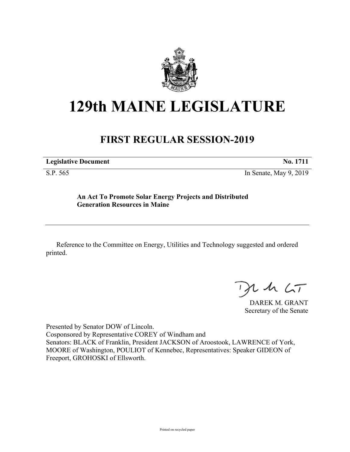

# **129th MAINE LEGISLATURE**

## **FIRST REGULAR SESSION-2019**

**Legislative Document No. 1711**

S.P. 565 In Senate, May 9, 2019

### **An Act To Promote Solar Energy Projects and Distributed Generation Resources in Maine**

Reference to the Committee on Energy, Utilities and Technology suggested and ordered printed.

 $125$ 

DAREK M. GRANT Secretary of the Senate

Presented by Senator DOW of Lincoln. Cosponsored by Representative COREY of Windham and Senators: BLACK of Franklin, President JACKSON of Aroostook, LAWRENCE of York, MOORE of Washington, POULIOT of Kennebec, Representatives: Speaker GIDEON of Freeport, GROHOSKI of Ellsworth.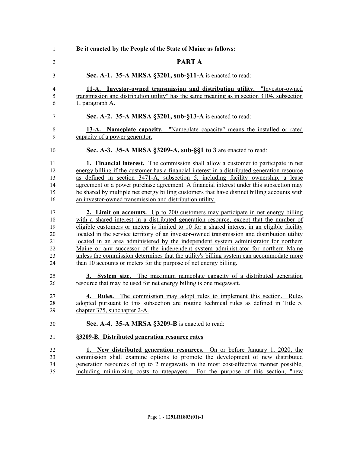| 1              | Be it enacted by the People of the State of Maine as follows:                                                                                           |
|----------------|---------------------------------------------------------------------------------------------------------------------------------------------------------|
| $\overline{c}$ | PART A                                                                                                                                                  |
| 3              | Sec. A-1. 35-A MRSA §3201, sub-§11-A is enacted to read:                                                                                                |
| 4              | 11-A. Investor-owned transmission and distribution utility. "Investor-owned                                                                             |
| 5              | transmission and distribution utility" has the same meaning as in section 3104, subsection                                                              |
| 6              | 1, paragraph A.                                                                                                                                         |
| 7              | Sec. A-2. 35-A MRSA §3201, sub-§13-A is enacted to read:                                                                                                |
| 8<br>9         | 13-A. Nameplate capacity. "Nameplate capacity" means the installed or rated<br>capacity of a power generator.                                           |
| 10             | Sec. A-3. 35-A MRSA §3209-A, sub-§§1 to 3 are enacted to read:                                                                                          |
| 11             | 1. Financial interest. The commission shall allow a customer to participate in net                                                                      |
| 12             | energy billing if the customer has a financial interest in a distributed generation resource                                                            |
| 13             | as defined in section 3471-A, subsection 5, including facility ownership, a lease                                                                       |
| 14             | agreement or a power purchase agreement. A financial interest under this subsection may                                                                 |
| 15<br>16       | be shared by multiple net energy billing customers that have distinct billing accounts with<br>an investor-owned transmission and distribution utility. |
| 17             | <b>2. Limit on accounts.</b> Up to 200 customers may participate in net energy billing                                                                  |
| 18             | with a shared interest in a distributed generation resource, except that the number of                                                                  |
| 19             | eligible customers or meters is limited to 10 for a shared interest in an eligible facility                                                             |
| 20             | located in the service territory of an investor-owned transmission and distribution utility                                                             |
| 21             | located in an area administered by the independent system administrator for northern                                                                    |
| 22             | <u>Maine or any successor of the independent system administrator for northern Maine</u>                                                                |
| 23             | unless the commission determines that the utility's billing system can accommodate more                                                                 |
| 24             | than 10 accounts or meters for the purpose of net energy billing.                                                                                       |
| 25             | 3. System size. The maximum nameplate capacity of a distributed generation                                                                              |
| 26             | resource that may be used for net energy billing is one megawatt.                                                                                       |
| 27             | <b>4. Rules.</b> The commission may adopt rules to implement this section. Rules                                                                        |
| 28             | adopted pursuant to this subsection are routine technical rules as defined in Title 5,                                                                  |
| 29             | chapter 375, subchapter 2-A.                                                                                                                            |
| 30             | Sec. A-4. 35-A MRSA §3209-B is enacted to read:                                                                                                         |
| 31             | §3209-B. Distributed generation resource rates                                                                                                          |
| 32             | <b>1.</b> New distributed generation resources. On or before January 1, 2020, the                                                                       |
| 33             | commission shall examine options to promote the development of new distributed                                                                          |
| 34             | generation resources of up to 2 megawatts in the most cost-effective manner possible,                                                                   |
| 35             | including minimizing costs to ratepayers. For the purpose of this section, "new                                                                         |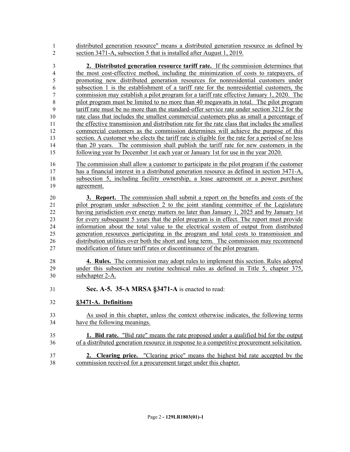distributed generation resource" means a distributed generation resource as defined by section 3471-A, subsection 5 that is installed after August 1, 2019.

 **2. Distributed generation resource tariff rate.** If the commission determines that the most cost-effective method, including the minimization of costs to ratepayers, of promoting new distributed generation resources for nonresidential customers under subsection 1 is the establishment of a tariff rate for the nonresidential customers, the commission may establish a pilot program for a tariff rate effective January 1, 2020. The pilot program must be limited to no more than 40 megawatts in total. The pilot program tariff rate must be no more than the standard-offer service rate under section 3212 for the rate class that includes the smallest commercial customers plus as small a percentage of the effective transmission and distribution rate for the rate class that includes the smallest commercial customers as the commission determines will achieve the purpose of this section. A customer who elects the tariff rate is eligible for the rate for a period of no less than 20 years. The commission shall publish the tariff rate for new customers in the following year by December 1st each year or January 1st for use in the year 2020.

 The commission shall allow a customer to participate in the pilot program if the customer has a financial interest in a distributed generation resource as defined in section 3471-A, subsection 5, including facility ownership, a lease agreement or a power purchase agreement.

 **3. Report.** The commission shall submit a report on the benefits and costs of the 21 pilot program under subsection 2 to the joint standing committee of the Legislature 22 having jurisdiction over energy matters no later than January 1, 2025 and by January 1st for every subsequent 5 years that the pilot program is in effect. The report must provide information about the total value to the electrical system of output from distributed generation resources participating in the program and total costs to transmission and 26 distribution utilities over both the short and long term. The commission may recommend modification of future tariff rates or discontinuance of the pilot program.

 **4. Rules.** The commission may adopt rules to implement this section. Rules adopted under this subsection are routine technical rules as defined in Title 5, chapter 375, subchapter 2-A.

**Sec. A-5. 35-A MRSA §3471-A** is enacted to read:

### **§3471-A. Definitions**

- As used in this chapter, unless the context otherwise indicates, the following terms have the following meanings.
- **1. Bid rate.** "Bid rate" means the rate proposed under a qualified bid for the output of a distributed generation resource in response to a competitive procurement solicitation.
- **2. Clearing price.** "Clearing price" means the highest bid rate accepted by the commission received for a procurement target under this chapter.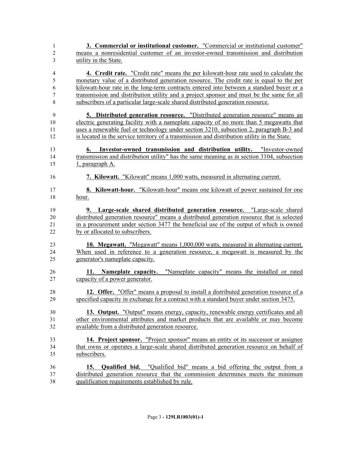| 1                   | 3. Commercial or institutional customer. "Commercial or institutional customer"                                                                                                         |
|---------------------|-----------------------------------------------------------------------------------------------------------------------------------------------------------------------------------------|
| $\overline{c}$      | means a nonresidential customer of an investor-owned transmission and distribution                                                                                                      |
| 3                   | utility in the State.                                                                                                                                                                   |
| $\overline{4}$<br>5 | <b>4.</b> Credit rate. "Credit rate" means the per kilowatt-hour rate used to calculate the<br>monetary value of a distributed generation resource. The credit rate is equal to the per |
| 6                   | kilowatt-hour rate in the long-term contracts entered into between a standard buyer or a                                                                                                |
| 7                   | transmission and distribution utility and a project sponsor and must be the same for all                                                                                                |
| $\,$ 8 $\,$         | subscribers of a particular large-scale shared distributed generation resource.                                                                                                         |
|                     |                                                                                                                                                                                         |
| 9                   | <b>5. Distributed generation resource.</b> "Distributed generation resource" means an                                                                                                   |
| 10                  | electric generating facility with a nameplate capacity of no more than 5 megawatts that                                                                                                 |
| 11<br>12            | uses a renewable fuel or technology under section 3210, subsection 2, paragraph B-3 and<br>is located in the service territory of a transmission and distribution utility in the State. |
| 13                  | 6. Investor-owned transmission and distribution utility. "Investor-owned                                                                                                                |
| 14                  | transmission and distribution utility" has the same meaning as in section 3104, subsection                                                                                              |
| 15                  | 1, paragraph A.                                                                                                                                                                         |
| 16                  | 7. Kilowatt. "Kilowatt" means 1,000 watts, measured in alternating current.                                                                                                             |
| 17                  | <b>8. Kilowatt-hour.</b> "Kilowatt-hour" means one kilowatt of power sustained for one                                                                                                  |
| 18                  | hour.                                                                                                                                                                                   |
| 19                  | 9. Large-scale shared distributed generation resource. "Large-scale shared                                                                                                              |
| 20                  | distributed generation resource" means a distributed generation resource that is selected                                                                                               |
| 21                  | in a procurement under section 3477 the beneficial use of the output of which is owned                                                                                                  |
| 22                  | by or allocated to subscribers.                                                                                                                                                         |
| 23                  | <b>10. Megawatt.</b> "Megawatt" means 1,000,000 watts, measured in alternating current.                                                                                                 |
| 24<br>25            | When used in reference to a generation resource, a megawatt is measured by the<br>generator's nameplate capacity.                                                                       |
|                     |                                                                                                                                                                                         |
| 26                  | 11. Nameplate capacity. "Nameplate capacity" means the installed or rated                                                                                                               |
| 27                  | capacity of a power generator.                                                                                                                                                          |
| 28                  | 12. Offer. "Offer" means a proposal to install a distributed generation resource of a                                                                                                   |
| 29                  | specified capacity in exchange for a contract with a standard buyer under section 3475.                                                                                                 |
|                     |                                                                                                                                                                                         |
| 30                  | 13. Output. "Output" means energy, capacity, renewable energy certificates and all                                                                                                      |
| 31                  | other environmental attributes and market products that are available or may become                                                                                                     |
| 32                  | available from a distributed generation resource.                                                                                                                                       |
| 33                  | 14. Project sponsor. "Project sponsor" means an entity or its successor or assignee                                                                                                     |
| 34                  | that owns or operates a large-scale shared distributed generation resource on behalf of                                                                                                 |
| 35                  | subscribers.                                                                                                                                                                            |
| 36                  | <b>Qualified bid.</b> "Qualified bid" means a bid offering the output from a<br>15.                                                                                                     |
| 37                  | distributed generation resource that the commission determines meets the minimum                                                                                                        |
| 38                  | qualification requirements established by rule.                                                                                                                                         |
|                     |                                                                                                                                                                                         |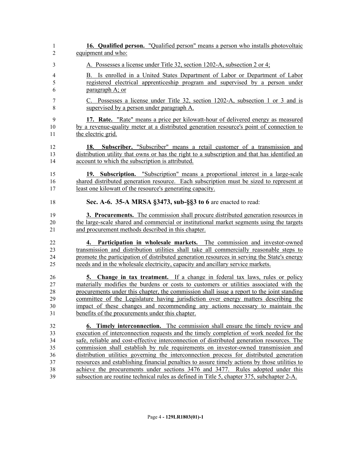| 1      | <b>16. Qualified person.</b> "Qualified person" means a person who installs photovoltaic      |
|--------|-----------------------------------------------------------------------------------------------|
| 2      | equipment and who:                                                                            |
| 3      | A. Possesses a license under Title 32, section 1202-A, subsection 2 or 4;                     |
| 4      | B. Is enrolled in a United States Department of Labor or Department of Labor                  |
| 5      | registered electrical apprenticeship program and supervised by a person under                 |
| 6      | paragraph A; or                                                                               |
| $\tau$ | C. Possesses a license under Title 32, section 1202-A, subsection 1 or 3 and is               |
| $8\,$  | supervised by a person under paragraph A.                                                     |
| 9      | 17. Rate. "Rate" means a price per kilowatt-hour of delivered energy as measured              |
| 10     | by a revenue-quality meter at a distributed generation resource's point of connection to      |
| 11     | the electric grid.                                                                            |
| 12     | <b>18. Subscriber.</b> "Subscriber" means a retail customer of a transmission and             |
| 13     | distribution utility that owns or has the right to a subscription and that has identified an  |
| 14     | account to which the subscription is attributed.                                              |
| 15     | 19. Subscription. "Subscription" means a proportional interest in a large-scale               |
| 16     | shared distributed generation resource. Each subscription must be sized to represent at       |
| 17     | least one kilowatt of the resource's generating capacity.                                     |
| 18     | Sec. A-6. 35-A MRSA §3473, sub-§§3 to 6 are enacted to read:                                  |
| 19     | 3. Procurements. The commission shall procure distributed generation resources in             |
| 20     | the large-scale shared and commercial or institutional market segments using the targets      |
| 21     | and procurement methods described in this chapter.                                            |
| 22     | 4. Participation in wholesale markets. The commission and investor-owned                      |
| 23     | transmission and distribution utilities shall take all commercially reasonable steps to       |
| 24     | promote the participation of distributed generation resources in serving the State's energy   |
| 25     | needs and in the wholesale electricity, capacity and ancillary service markets.               |
| 26     | 5. Change in tax treatment. If a change in federal tax laws, rules or policy                  |
| 27     | materially modifies the burdens or costs to customers or utilities associated with the        |
| 28     | procurements under this chapter, the commission shall issue a report to the joint standing    |
| 29     | committee of the Legislature having jurisdiction over energy matters describing the           |
| 30     | impact of these changes and recommending any actions necessary to maintain the                |
| 31     | benefits of the procurements under this chapter.                                              |
| 32     | <b>6. Timely interconnection.</b> The commission shall ensure the timely review and           |
| 33     | execution of interconnection requests and the timely completion of work needed for the        |
| 34     | safe, reliable and cost-effective interconnection of distributed generation resources. The    |
| 35     | commission shall establish by rule requirements on investor-owned transmission and            |
| 36     | distribution utilities governing the interconnection process for distributed generation       |
| 37     | resources and establishing financial penalties to assure timely actions by those utilities to |
| 38     | achieve the procurements under sections 3476 and 3477. Rules adopted under this               |
| 39     | subsection are routine technical rules as defined in Title 5, chapter 375, subchapter 2-A.    |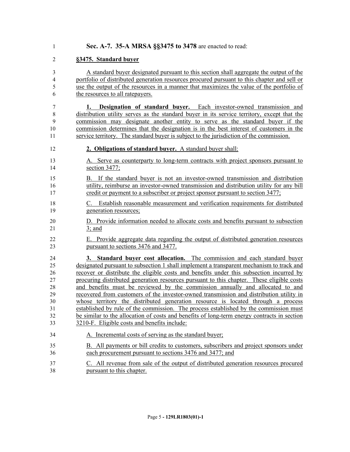**Sec. A-7. 35-A MRSA §§3475 to 3478** are enacted to read:

#### **§3475. Standard buyer**

 A standard buyer designated pursuant to this section shall aggregate the output of the portfolio of distributed generation resources procured pursuant to this chapter and sell or use the output of the resources in a manner that maximizes the value of the portfolio of the resources to all ratepayers.

 **1. Designation of standard buyer.** Each investor-owned transmission and distribution utility serves as the standard buyer in its service territory, except that the commission may designate another entity to serve as the standard buyer if the commission determines that the designation is in the best interest of customers in the service territory. The standard buyer is subject to the jurisdiction of the commission.

- **2. Obligations of standard buyer.** A standard buyer shall:
- A. Serve as counterparty to long-term contracts with project sponsors pursuant to section 3477;
- B. If the standard buyer is not an investor-owned transmission and distribution utility, reimburse an investor-owned transmission and distribution utility for any bill credit or payment to a subscriber or project sponsor pursuant to section 3477;
- C. Establish reasonable measurement and verification requirements for distributed generation resources;
- D. Provide information needed to allocate costs and benefits pursuant to subsection 3; and
- E. Provide aggregate data regarding the output of distributed generation resources pursuant to sections 3476 and 3477.

 **3. Standard buyer cost allocation.** The commission and each standard buyer designated pursuant to subsection 1 shall implement a transparent mechanism to track and recover or distribute the eligible costs and benefits under this subsection incurred by procuring distributed generation resources pursuant to this chapter. These eligible costs and benefits must be reviewed by the commission annually and allocated to and recovered from customers of the investor-owned transmission and distribution utility in whose territory the distributed generation resource is located through a process established by rule of the commission. The process established by the commission must be similar to the allocation of costs and benefits of long-term energy contracts in section 3210-F. Eligible costs and benefits include:

- A. Incremental costs of serving as the standard buyer;
- B. All payments or bill credits to customers, subscribers and project sponsors under each procurement pursuant to sections 3476 and 3477; and
- C. All revenue from sale of the output of distributed generation resources procured pursuant to this chapter.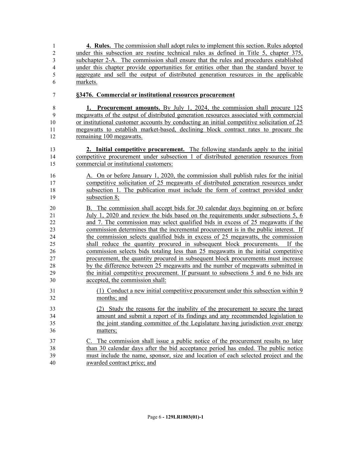| 1              | 4. Rules. The commission shall adopt rules to implement this section. Rules adopted        |
|----------------|--------------------------------------------------------------------------------------------|
| $\overline{c}$ | under this subsection are routine technical rules as defined in Title 5, chapter 375,      |
| $\mathfrak{Z}$ | subchapter 2-A. The commission shall ensure that the rules and procedures established      |
| $\overline{4}$ | under this chapter provide opportunities for entities other than the standard buyer to     |
| 5              | aggregate and sell the output of distributed generation resources in the applicable        |
| 6              | markets.                                                                                   |
| $\tau$         | §3476. Commercial or institutional resources procurement                                   |
| $\,8\,$        | <b>1. Procurement amounts.</b> By July 1, 2024, the commission shall procure 125           |
| 9              | megawatts of the output of distributed generation resources associated with commercial     |
| 10             | or institutional customer accounts by conducting an initial competitive solicitation of 25 |
| 11             | megawatts to establish market-based, declining block contract rates to procure the         |
| 12             | remaining 100 megawatts.                                                                   |
| 13             | 2. Initial competitive procurement. The following standards apply to the initial           |
| 14             | competitive procurement under subsection 1 of distributed generation resources from        |
| 15             | commercial or institutional customers:                                                     |
| 16             | A. On or before January 1, 2020, the commission shall publish rules for the initial        |
| 17             | competitive solicitation of 25 megawatts of distributed generation resources under         |
| 18             | subsection 1. The publication must include the form of contract provided under             |
| 19             | subsection 8;                                                                              |
| 20             | B. The commission shall accept bids for 30 calendar days beginning on or before            |
| 21             | July 1, 2020 and review the bids based on the requirements under subsections 5, 6          |
| 22             | and 7. The commission may select qualified bids in excess of 25 megawatts if the           |
| 23             | commission determines that the incremental procurement is in the public interest. If       |
| 24             | the commission selects qualified bids in excess of 25 megawatts, the commission            |
| 25             | shall reduce the quantity procured in subsequent block procurements. If the                |
| 26             | commission selects bids totaling less than 25 megawatts in the initial competitive         |
| 27             | procurement, the quantity procured in subsequent block procurements must increase          |
| 28             | by the difference between 25 megawatts and the number of megawatts submitted in            |
| 29             | the initial competitive procurement. If pursuant to subsections 5 and 6 no bids are        |
| 30             | accepted, the commission shall:                                                            |
| 31             | (1) Conduct a new initial competitive procurement under this subsection within 9           |
| 32             | months; and                                                                                |
| 33             | (2) Study the reasons for the inability of the procurement to secure the target            |
| 34             | amount and submit a report of its findings and any recommended legislation to              |
| 35             | the joint standing committee of the Legislature having jurisdiction over energy            |
| 36             | matters;                                                                                   |
| 37             | C. The commission shall issue a public notice of the procurement results no later          |
| 38             | than 30 calendar days after the bid acceptance period has ended. The public notice         |
| 39             | must include the name, sponsor, size and location of each selected project and the         |
| 40             | awarded contract price; and                                                                |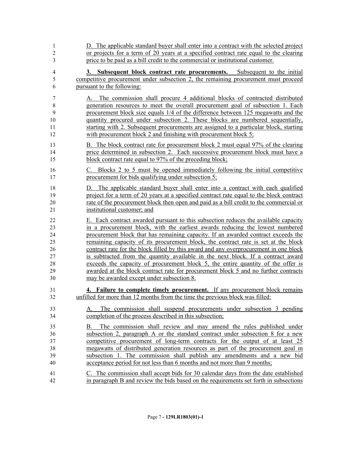| $\mathbf{1}$                                  | D. The applicable standard buyer shall enter into a contract with the selected project                                                                                                                                                                                                                                                                                                                                                                                                                                                                                                      |
|-----------------------------------------------|---------------------------------------------------------------------------------------------------------------------------------------------------------------------------------------------------------------------------------------------------------------------------------------------------------------------------------------------------------------------------------------------------------------------------------------------------------------------------------------------------------------------------------------------------------------------------------------------|
| $\boldsymbol{2}$                              | or projects for a term of 20 years at a specified contract rate equal to the clearing                                                                                                                                                                                                                                                                                                                                                                                                                                                                                                       |
| 3                                             | price to be paid as a bill credit to the commercial or institutional customer.                                                                                                                                                                                                                                                                                                                                                                                                                                                                                                              |
| $\overline{4}$                                | 3. Subsequent block contract rate procurements. Subsequent to the initial                                                                                                                                                                                                                                                                                                                                                                                                                                                                                                                   |
| 5                                             | competitive procurement under subsection 2, the remaining procurement must proceed                                                                                                                                                                                                                                                                                                                                                                                                                                                                                                          |
| 6                                             | pursuant to the following:                                                                                                                                                                                                                                                                                                                                                                                                                                                                                                                                                                  |
| 7<br>$\,$ 8 $\,$<br>9<br>10<br>11<br>12<br>13 | The commission shall procure 4 additional blocks of contracted distributed<br>А.<br>generation resources to meet the overall procurement goal of subsection 1. Each<br>procurement block size equals 1/4 of the difference between 125 megawatts and the<br>quantity procured under subsection 2. These blocks are numbered sequentially,<br>starting with 2. Subsequent procurements are assigned to a particular block, starting<br>with procurement block 2 and finishing with procurement block 5;<br>B. The block contract rate for procurement block 2 must equal 97% of the clearing |
| 14                                            | price determined in subsection 2. Each successive procurement block must have a                                                                                                                                                                                                                                                                                                                                                                                                                                                                                                             |
| 15                                            | block contract rate equal to 97% of the preceding block;                                                                                                                                                                                                                                                                                                                                                                                                                                                                                                                                    |
| 16                                            | C. Blocks 2 to 5 must be opened immediately following the initial competitive                                                                                                                                                                                                                                                                                                                                                                                                                                                                                                               |
| 17                                            | procurement for bids qualifying under subsection 5;                                                                                                                                                                                                                                                                                                                                                                                                                                                                                                                                         |
| 18<br>19<br>20<br>21                          | The applicable standard buyer shall enter into a contract with each qualified<br>D.<br>project for a term of 20 years at a specified contract rate equal to the block contract<br>rate of the procurement block then open and paid as a bill credit to the commercial or<br>institutional customer; and                                                                                                                                                                                                                                                                                     |
| 22                                            | E. Each contract awarded pursuant to this subsection reduces the available capacity                                                                                                                                                                                                                                                                                                                                                                                                                                                                                                         |
| 23                                            | in a procurement block, with the earliest awards reducing the lowest numbered                                                                                                                                                                                                                                                                                                                                                                                                                                                                                                               |
| 24                                            | procurement block that has remaining capacity. If an awarded contract exceeds the                                                                                                                                                                                                                                                                                                                                                                                                                                                                                                           |
| 25                                            | remaining capacity of its procurement block, the contract rate is set at the block                                                                                                                                                                                                                                                                                                                                                                                                                                                                                                          |
| 26                                            | contract rate for the block filled by this award and any overprocurement in one block                                                                                                                                                                                                                                                                                                                                                                                                                                                                                                       |
| 27                                            | is subtracted from the quantity available in the next block. If a contract award                                                                                                                                                                                                                                                                                                                                                                                                                                                                                                            |
| 28                                            | exceeds the capacity of procurement block 5, the entire quantity of the offer is                                                                                                                                                                                                                                                                                                                                                                                                                                                                                                            |
| 29                                            | awarded at the block contract rate for procurement block 5 and no further contracts                                                                                                                                                                                                                                                                                                                                                                                                                                                                                                         |
| 30                                            | may be awarded except under subsection 8.                                                                                                                                                                                                                                                                                                                                                                                                                                                                                                                                                   |
| 31                                            | 4. Failure to complete timely procurement. If any procurement block remains                                                                                                                                                                                                                                                                                                                                                                                                                                                                                                                 |
| 32                                            | unfilled for more than 12 months from the time the previous block was filled:                                                                                                                                                                                                                                                                                                                                                                                                                                                                                                               |
| 33<br>34                                      | The commission shall suspend procurements under subsection 3 pending<br>А.<br>completion of the process described in this subsection;                                                                                                                                                                                                                                                                                                                                                                                                                                                       |
| 35<br>36<br>37<br>38<br>39<br>40              | The commission shall review and may amend the rules published under<br>В.<br>subsection 2, paragraph A or the standard contract under subsection 8 for a new<br>competitive procurement of long-term contracts for the output of at least 25<br>megawatts of distributed generation resources as part of the procurement goal in<br>subsection 1. The commission shall publish any amendments and a new bid<br>acceptance period for not less than 6 months and not more than 9 months;                                                                                                     |
| 41                                            | C. The commission shall accept bids for 30 calendar days from the date established                                                                                                                                                                                                                                                                                                                                                                                                                                                                                                          |
| 42                                            | in paragraph B and review the bids based on the requirements set forth in subsections                                                                                                                                                                                                                                                                                                                                                                                                                                                                                                       |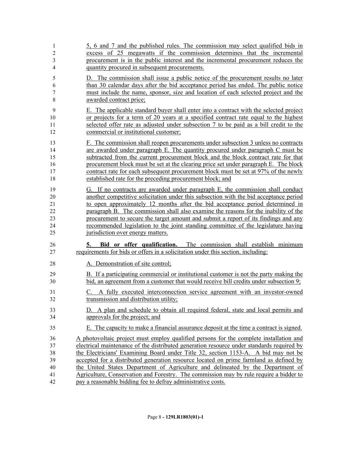| $\mathbf{1}$   | 5, 6 and 7 and the published rules. The commission may select qualified bids in                                                                              |
|----------------|--------------------------------------------------------------------------------------------------------------------------------------------------------------|
| $\sqrt{2}$     | excess of 25 megawatts if the commission determines that the incremental                                                                                     |
| $\mathfrak{Z}$ | procurement is in the public interest and the incremental procurement reduces the                                                                            |
| $\overline{4}$ | quantity procured in subsequent procurements.                                                                                                                |
| 5              | D. The commission shall issue a public notice of the procurement results no later                                                                            |
| 6              | than 30 calendar days after the bid acceptance period has ended. The public notice                                                                           |
| 7              | must include the name, sponsor, size and location of each selected project and the                                                                           |
| $\,$ 8 $\,$    | awarded contract price;                                                                                                                                      |
| 9              | E. The applicable standard buyer shall enter into a contract with the selected project                                                                       |
| 10             | or projects for a term of 20 years at a specified contract rate equal to the highest                                                                         |
| 11             | selected offer rate as adjusted under subsection 7 to be paid as a bill credit to the                                                                        |
| 12             | commercial or institutional customer;                                                                                                                        |
| 13             | F. The commission shall reopen procurements under subsection 3 unless no contracts                                                                           |
| 14             | are awarded under paragraph E. The quantity procured under paragraph C must be                                                                               |
| 15             | subtracted from the current procurement block and the block contract rate for that                                                                           |
| 16             | procurement block must be set at the clearing price set under paragraph E. The block                                                                         |
| 17             | contract rate for each subsequent procurement block must be set at 97% of the newly                                                                          |
| 18             | established rate for the preceding procurement block; and                                                                                                    |
| 19             | G. If no contracts are awarded under paragraph E, the commission shall conduct                                                                               |
| 20             | another competitive solicitation under this subsection with the bid acceptance period                                                                        |
| 21             | to open approximately 12 months after the bid acceptance period determined in                                                                                |
| 22             | paragraph B. The commission shall also examine the reasons for the inability of the                                                                          |
| 23             | procurement to secure the target amount and submit a report of its findings and any                                                                          |
| 24             | recommended legislation to the joint standing committee of the legislature having                                                                            |
| 25             | jurisdiction over energy matters.                                                                                                                            |
| 26<br>27       | Bid or offer qualification. The commission shall establish minimum<br>5.<br>requirements for bids or offers in a solicitation under this section, including: |
| 28             | A. Demonstration of site control;                                                                                                                            |
| 29             | B. If a participating commercial or institutional customer is not the party making the                                                                       |
| 30             | bid, an agreement from a customer that would receive bill credits under subsection 9;                                                                        |
| 31             | C. A fully executed interconnection service agreement with an investor-owned                                                                                 |
| 32             | transmission and distribution utility;                                                                                                                       |
| 33             | D. A plan and schedule to obtain all required federal, state and local permits and                                                                           |
| 34             | approvals for the project; and                                                                                                                               |
| 35             | E. The capacity to make a financial assurance deposit at the time a contract is signed.                                                                      |
| 36             | A photovoltaic project must employ qualified persons for the complete installation and                                                                       |
| 37             | electrical maintenance of the distributed generation resource under standards required by                                                                    |
| 38             | the Electricians' Examining Board under Title 32, section 1153-A. A bid may not be                                                                           |
| 39             | accepted for a distributed generation resource located on prime farmland as defined by                                                                       |
| 40             | the United States Department of Agriculture and delineated by the Department of                                                                              |
| 41             | Agriculture, Conservation and Forestry. The commission may by rule require a bidder to                                                                       |
| 42             | pay a reasonable bidding fee to defray administrative costs.                                                                                                 |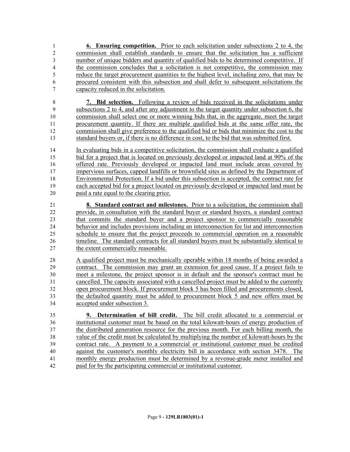- **6. Ensuring competition.** Prior to each solicitation under subsections 2 to 4, the commission shall establish standards to ensure that the solicitation has a sufficient number of unique bidders and quantity of qualified bids to be determined competitive. If the commission concludes that a solicitation is not competitive, the commission may reduce the target procurement quantities to the highest level, including zero, that may be procured consistent with this subsection and shall defer to subsequent solicitations the capacity reduced in the solicitation.
- **7. Bid selection.** Following a review of bids received in the solicitations under subsections 2 to 4, and after any adjustment to the target quantity under subsection 6, the commission shall select one or more winning bids that, in the aggregate, meet the target procurement quantity. If there are multiple qualified bids at the same offer rate, the commission shall give preference to the qualified bid or bids that minimize the cost to the standard buyers or, if there is no difference in cost, to the bid that was submitted first.
- In evaluating bids in a competitive solicitation, the commission shall evaluate a qualified bid for a project that is located on previously developed or impacted land at 90% of the offered rate. Previously developed or impacted land must include areas covered by impervious surfaces, capped landfills or brownfield sites as defined by the Department of Environmental Protection. If a bid under this subsection is accepted, the contract rate for each accepted bid for a project located on previously developed or impacted land must be paid a rate equal to the clearing price.
- **8. Standard contract and milestones.** Prior to a solicitation, the commission shall provide, in consultation with the standard buyer or standard buyers, a standard contract that commits the standard buyer and a project sponsor to commercially reasonable behavior and includes provisions including an interconnection fee list and interconnection schedule to ensure that the project proceeds to commercial operation on a reasonable timeline. The standard contracts for all standard buyers must be substantially identical to the extent commercially reasonable.
- A qualified project must be mechanically operable within 18 months of being awarded a contract. The commission may grant an extension for good cause. If a project fails to meet a milestone, the project sponsor is in default and the sponsor's contract must be cancelled. The capacity associated with a cancelled project must be added to the currently open procurement block. If procurement block 5 has been filled and procurements closed, the defaulted quantity must be added to procurement block 5 and new offers must be accepted under subsection 3.
- **9. Determination of bill credit.** The bill credit allocated to a commercial or institutional customer must be based on the total kilowatt-hours of energy production of the distributed generation resource for the previous month. For each billing month, the value of the credit must be calculated by multiplying the number of kilowatt-hours by the contract rate. A payment to a commercial or institutional customer must be credited against the customer's monthly electricity bill in accordance with section 3478. The monthly energy production must be determined by a revenue-grade meter installed and paid for by the participating commercial or institutional customer.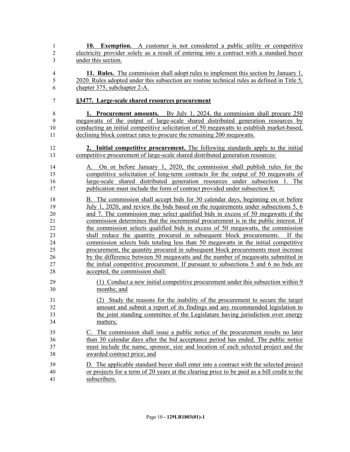| $\mathbf{1}$        | 10. Exemption. A customer is not considered a public utility or competitive                                                                                                         |
|---------------------|-------------------------------------------------------------------------------------------------------------------------------------------------------------------------------------|
| $\overline{c}$      | electricity provider solely as a result of entering into a contract with a standard buyer                                                                                           |
| $\overline{3}$      | under this section.                                                                                                                                                                 |
| $\overline{4}$<br>5 | 11. Rules. The commission shall adopt rules to implement this section by January 1,<br>2020. Rules adopted under this subsection are routine technical rules as defined in Title 5, |
| 6                   | chapter 375, subchapter 2-A.                                                                                                                                                        |
| 7                   | §3477. Large-scale shared resources procurement                                                                                                                                     |
| $8\,$               | 1. Procurement amounts. By July 1, 2024, the commission shall procure 250                                                                                                           |
| 9                   | megawatts of the output of large-scale shared distributed generation resources by                                                                                                   |
| 10                  | conducting an initial competitive solicitation of 50 megawatts to establish market-based,                                                                                           |
| 11                  | declining block contract rates to procure the remaining 200 megawatts.                                                                                                              |
|                     |                                                                                                                                                                                     |
| 12                  | 2. Initial competitive procurement. The following standards apply to the initial                                                                                                    |
| 13                  | competitive procurement of large-scale shared distributed generation resources:                                                                                                     |
|                     |                                                                                                                                                                                     |
| 14                  | On or before January 1, 2020, the commission shall publish rules for the<br>А.                                                                                                      |
| 15                  | competitive solicitation of long-term contracts for the output of 50 megawatts of                                                                                                   |
| 16                  | large-scale shared distributed generation resources under subsection 1. The                                                                                                         |
| 17                  | publication must include the form of contract provided under subsection 8;                                                                                                          |
| 18                  | B. The commission shall accept bids for 30 calendar days, beginning on or before                                                                                                    |
| 19                  | July 1, 2020, and review the bids based on the requirements under subsections $5, 6$                                                                                                |
| 20                  |                                                                                                                                                                                     |
|                     | and 7. The commission may select qualified bids in excess of 50 megawatts if the                                                                                                    |
| 21                  | commission determines that the incremental procurement is in the public interest. If                                                                                                |
| 22                  | the commission selects qualified bids in excess of 50 megawatts, the commission                                                                                                     |
| 23                  | shall reduce the quantity procured in subsequent block procurements.<br>If the                                                                                                      |
| 24                  | commission selects bids totaling less than 50 megawatts in the initial competitive                                                                                                  |
| 25                  | procurement, the quantity procured in subsequent block procurements must increase                                                                                                   |
| 26                  | by the difference between 50 megawatts and the number of megawatts submitted in                                                                                                     |
| 27                  | the initial competitive procurement. If pursuant to subsections 5 and 6 no bids are                                                                                                 |
| 28                  | accepted, the commission shall:                                                                                                                                                     |
| 29                  | (1) Conduct a new initial competitive procurement under this subsection within 9                                                                                                    |
| 30                  | months; and                                                                                                                                                                         |
|                     |                                                                                                                                                                                     |
| 31                  | (2) Study the reasons for the inability of the procurement to secure the target                                                                                                     |
| 32                  | amount and submit a report of its findings and any recommended legislation to                                                                                                       |
| 33                  | the joint standing committee of the Legislature having jurisdiction over energy                                                                                                     |
| 34                  | matters;                                                                                                                                                                            |
| 35                  | C. The commission shall issue a public notice of the procurement results no later                                                                                                   |
| 36                  | than 30 calendar days after the bid acceptance period has ended. The public notice                                                                                                  |
| 37                  | must include the name, sponsor, size and location of each selected project and the                                                                                                  |
|                     |                                                                                                                                                                                     |
| 38                  | awarded contract price; and                                                                                                                                                         |
| 39                  | D. The applicable standard buyer shall enter into a contract with the selected project                                                                                              |
| 40                  | or projects for a term of 20 years at the clearing price to be paid as a bill credit to the                                                                                         |
| 41                  | subscribers.                                                                                                                                                                        |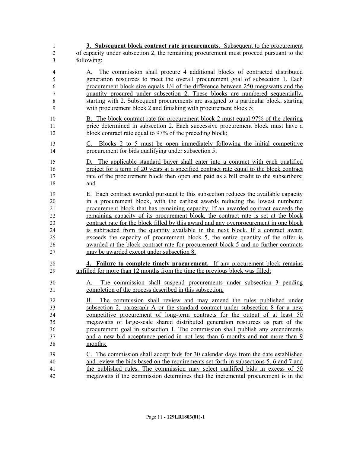| 1                   | 3. Subsequent block contract rate procurements. Subsequent to the procurement                                                                                    |
|---------------------|------------------------------------------------------------------------------------------------------------------------------------------------------------------|
| $\sqrt{2}$          | of capacity under subsection 2, the remaining procurement must proceed pursuant to the                                                                           |
| 3                   | following:                                                                                                                                                       |
| $\overline{4}$<br>5 | A. The commission shall procure 4 additional blocks of contracted distributed<br>generation resources to meet the overall procurement goal of subsection 1. Each |
| 6                   | procurement block size equals 1/4 of the difference between 250 megawatts and the                                                                                |
| 7                   | quantity procured under subsection 2. These blocks are numbered sequentially,                                                                                    |
| $\,$ $\,$           | starting with 2. Subsequent procurements are assigned to a particular block, starting                                                                            |
| 9                   | with procurement block 2 and finishing with procurement block 5;                                                                                                 |
| 10                  | B. The block contract rate for procurement block 2 must equal 97% of the clearing                                                                                |
| 11                  | price determined in subsection 2. Each successive procurement block must have a                                                                                  |
| 12                  | block contract rate equal to 97% of the preceding block;                                                                                                         |
| 13                  | C. Blocks 2 to 5 must be open immediately following the initial competitive                                                                                      |
| 14                  | procurement for bids qualifying under subsection 5;                                                                                                              |
| 15                  | D. The applicable standard buyer shall enter into a contract with each qualified                                                                                 |
| 16                  | project for a term of 20 years at a specified contract rate equal to the block contract                                                                          |
| 17                  | rate of the procurement block then open and paid as a bill credit to the subscribers;                                                                            |
| 18                  | and                                                                                                                                                              |
| 19                  | E. Each contract awarded pursuant to this subsection reduces the available capacity                                                                              |
| 20                  | in a procurement block, with the earliest awards reducing the lowest numbered                                                                                    |
| 21                  | procurement block that has remaining capacity. If an awarded contract exceeds the                                                                                |
| 22                  | remaining capacity of its procurement block, the contract rate is set at the block                                                                               |
| 23                  | contract rate for the block filled by this award and any overprocurement in one block                                                                            |
| 24                  | is subtracted from the quantity available in the next block. If a contract award                                                                                 |
| 25                  | exceeds the capacity of procurement block 5, the entire quantity of the offer is                                                                                 |
| 26                  | awarded at the block contract rate for procurement block 5 and no further contracts                                                                              |
| 27                  | may be awarded except under subsection 8.                                                                                                                        |
| 28<br>29            | 4. Failure to complete timely procurement. If any procurement block remains<br>unfilled for more than 12 months from the time the previous block was filled:     |
| 30                  | The commission shall suspend procurements under subsection 3 pending<br>А.                                                                                       |
| 31                  | completion of the process described in this subsection;                                                                                                          |
| 32                  | The commission shall review and may amend the rules published under<br>В.                                                                                        |
| 33                  | subsection 2, paragraph A or the standard contract under subsection 8 for a new                                                                                  |
| 34                  | competitive procurement of long-term contracts for the output of at least 50                                                                                     |
| 35                  | megawatts of large-scale shared distributed generation resources as part of the                                                                                  |
| 36                  | procurement goal in subsection 1. The commission shall publish any amendments                                                                                    |
| 37                  | and a new bid acceptance period in not less than 6 months and not more than 9                                                                                    |
| 38                  | months;                                                                                                                                                          |
| 39                  | C. The commission shall accept bids for 30 calendar days from the date established                                                                               |
| 40                  | and review the bids based on the requirements set forth in subsections 5, 6 and 7 and                                                                            |
| 41                  | the published rules. The commission may select qualified bids in excess of $50$                                                                                  |
| 42                  | megawatts if the commission determines that the incremental procurement is in the                                                                                |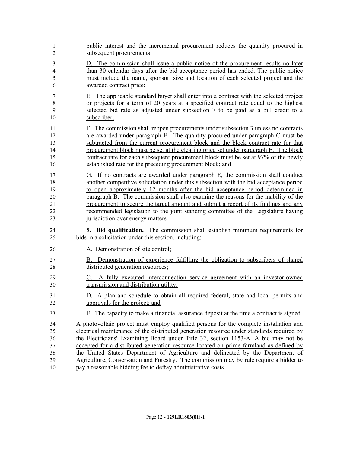| 1              | public interest and the incremental procurement reduces the quantity procured in          |
|----------------|-------------------------------------------------------------------------------------------|
| $\overline{2}$ | subsequent procurements;                                                                  |
| 3              | D. The commission shall issue a public notice of the procurement results no later         |
| $\overline{4}$ | than 30 calendar days after the bid acceptance period has ended. The public notice        |
| 5              | must include the name, sponsor, size and location of each selected project and the        |
| 6              | awarded contract price;                                                                   |
| 7              | E. The applicable standard buyer shall enter into a contract with the selected project    |
| $\,$ $\,$      | or projects for a term of 20 years at a specified contract rate equal to the highest      |
| 9              | selected bid rate as adjusted under subsection 7 to be paid as a bill credit to a         |
| 10             | subscriber;                                                                               |
| 11             | F. The commission shall reopen procurements under subsection 3 unless no contracts        |
| 12             | are awarded under paragraph E. The quantity procured under paragraph C must be            |
| 13             | subtracted from the current procurement block and the block contract rate for that        |
| 14             | procurement block must be set at the clearing price set under paragraph E. The block      |
| 15             | contract rate for each subsequent procurement block must be set at 97% of the newly       |
| 16             | established rate for the preceding procurement block; and                                 |
| 17             | G. If no contracts are awarded under paragraph E, the commission shall conduct            |
| 18             | another competitive solicitation under this subsection with the bid acceptance period     |
| 19             | to open approximately 12 months after the bid acceptance period determined in             |
| 20             | paragraph B. The commission shall also examine the reasons for the inability of the       |
| 21             | procurement to secure the target amount and submit a report of its findings and any       |
| 22             | recommended legislation to the joint standing committee of the Legislature having         |
| 23             | jurisdiction over energy matters.                                                         |
| 24             | <b>5. Bid qualification.</b> The commission shall establish minimum requirements for      |
| 25             | bids in a solicitation under this section, including:                                     |
| 26             | A. Demonstration of site control;                                                         |
| 27             | B. Demonstration of experience fulfilling the obligation to subscribers of shared         |
| 28             | distributed generation resources;                                                         |
| 29             | C. A fully executed interconnection service agreement with an investor-owned              |
| 30             | transmission and distribution utility;                                                    |
| 31             | D. A plan and schedule to obtain all required federal, state and local permits and        |
| 32             | approvals for the project; and                                                            |
| 33             | E. The capacity to make a financial assurance deposit at the time a contract is signed.   |
| 34             | A photovoltaic project must employ qualified persons for the complete installation and    |
| 35             | electrical maintenance of the distributed generation resource under standards required by |
| 36             | the Electricians' Examining Board under Title 32, section 1153-A. A bid may not be        |
| 37             | accepted for a distributed generation resource located on prime farmland as defined by    |
| 38             | the United States Department of Agriculture and delineated by the Department of           |
| 39             | Agriculture, Conservation and Forestry. The commission may by rule require a bidder to    |
| 40             | pay a reasonable bidding fee to defray administrative costs.                              |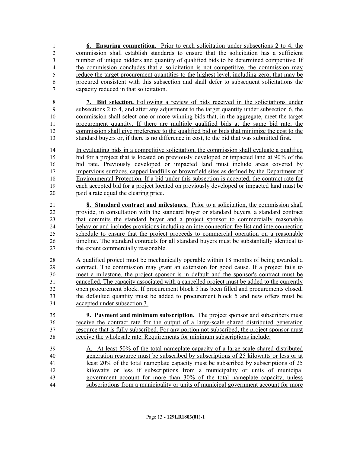- **6. Ensuring competition.** Prior to each solicitation under subsections 2 to 4, the commission shall establish standards to ensure that the solicitation has a sufficient number of unique bidders and quantity of qualified bids to be determined competitive. If the commission concludes that a solicitation is not competitive, the commission may reduce the target procurement quantities to the highest level, including zero, that may be procured consistent with this subsection and shall defer to subsequent solicitations the capacity reduced in that solicitation.
- **7. Bid selection.** Following a review of bids received in the solicitations under subsections 2 to 4, and after any adjustment to the target quantity under subsection 6, the commission shall select one or more winning bids that, in the aggregate, meet the target procurement quantity. If there are multiple qualified bids at the same bid rate, the commission shall give preference to the qualified bid or bids that minimize the cost to the standard buyers or, if there is no difference in cost, to the bid that was submitted first.
- In evaluating bids in a competitive solicitation, the commission shall evaluate a qualified bid for a project that is located on previously developed or impacted land at 90% of the bid rate. Previously developed or impacted land must include areas covered by impervious surfaces, capped landfills or brownfield sites as defined by the Department of Environmental Protection. If a bid under this subsection is accepted, the contract rate for each accepted bid for a project located on previously developed or impacted land must be paid a rate equal the clearing price.
- **8. Standard contract and milestones.** Prior to a solicitation, the commission shall provide, in consultation with the standard buyer or standard buyers, a standard contract that commits the standard buyer and a project sponsor to commercially reasonable behavior and includes provisions including an interconnection fee list and interconnection schedule to ensure that the project proceeds to commercial operation on a reasonable timeline. The standard contracts for all standard buyers must be substantially identical to 27 the extent commercially reasonable.
- A qualified project must be mechanically operable within 18 months of being awarded a contract. The commission may grant an extension for good cause. If a project fails to meet a milestone, the project sponsor is in default and the sponsor's contract must be cancelled. The capacity associated with a cancelled project must be added to the currently open procurement block. If procurement block 5 has been filled and procurements closed, the defaulted quantity must be added to procurement block 5 and new offers must be accepted under subsection 3.
- **9. Payment and minimum subscription.** The project sponsor and subscribers must receive the contract rate for the output of a large-scale shared distributed generation resource that is fully subscribed. For any portion not subscribed, the project sponsor must receive the wholesale rate. Requirements for minimum subscriptions include:
- A. At least 50% of the total nameplate capacity of a large-scale shared distributed generation resource must be subscribed by subscriptions of 25 kilowatts or less or at least 20% of the total nameplate capacity must be subscribed by subscriptions of 25 kilowatts or less if subscriptions from a municipality or units of municipal government account for more than 30% of the total nameplate capacity, unless subscriptions from a municipality or units of municipal government account for more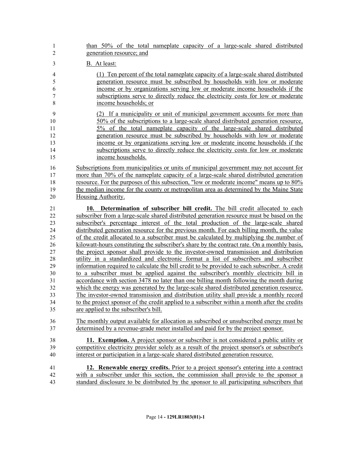| $\mathbf{1}$                                                                           | than 50% of the total nameplate capacity of a large-scale shared distributed                                                                                                                                                                                                                                                                                                                                                                                                                                                                                                                                                                                                                                                                                                                                                                                                                                                                                                                                                                                                                                                                                                                                                                                                                                                                                        |
|----------------------------------------------------------------------------------------|---------------------------------------------------------------------------------------------------------------------------------------------------------------------------------------------------------------------------------------------------------------------------------------------------------------------------------------------------------------------------------------------------------------------------------------------------------------------------------------------------------------------------------------------------------------------------------------------------------------------------------------------------------------------------------------------------------------------------------------------------------------------------------------------------------------------------------------------------------------------------------------------------------------------------------------------------------------------------------------------------------------------------------------------------------------------------------------------------------------------------------------------------------------------------------------------------------------------------------------------------------------------------------------------------------------------------------------------------------------------|
| $\overline{2}$                                                                         | generation resource; and                                                                                                                                                                                                                                                                                                                                                                                                                                                                                                                                                                                                                                                                                                                                                                                                                                                                                                                                                                                                                                                                                                                                                                                                                                                                                                                                            |
| $\mathfrak{Z}$                                                                         | B. At least:                                                                                                                                                                                                                                                                                                                                                                                                                                                                                                                                                                                                                                                                                                                                                                                                                                                                                                                                                                                                                                                                                                                                                                                                                                                                                                                                                        |
| $\overline{4}$                                                                         | (1) Ten percent of the total nameplate capacity of a large-scale shared distributed                                                                                                                                                                                                                                                                                                                                                                                                                                                                                                                                                                                                                                                                                                                                                                                                                                                                                                                                                                                                                                                                                                                                                                                                                                                                                 |
| 5                                                                                      | generation resource must be subscribed by households with low or moderate                                                                                                                                                                                                                                                                                                                                                                                                                                                                                                                                                                                                                                                                                                                                                                                                                                                                                                                                                                                                                                                                                                                                                                                                                                                                                           |
| 6                                                                                      | income or by organizations serving low or moderate income households if the                                                                                                                                                                                                                                                                                                                                                                                                                                                                                                                                                                                                                                                                                                                                                                                                                                                                                                                                                                                                                                                                                                                                                                                                                                                                                         |
| $\boldsymbol{7}$                                                                       | subscriptions serve to directly reduce the electricity costs for low or moderate                                                                                                                                                                                                                                                                                                                                                                                                                                                                                                                                                                                                                                                                                                                                                                                                                                                                                                                                                                                                                                                                                                                                                                                                                                                                                    |
| 8                                                                                      | income households; or                                                                                                                                                                                                                                                                                                                                                                                                                                                                                                                                                                                                                                                                                                                                                                                                                                                                                                                                                                                                                                                                                                                                                                                                                                                                                                                                               |
| 9                                                                                      | (2) If a municipality or unit of municipal government accounts for more than                                                                                                                                                                                                                                                                                                                                                                                                                                                                                                                                                                                                                                                                                                                                                                                                                                                                                                                                                                                                                                                                                                                                                                                                                                                                                        |
| 10                                                                                     | 50% of the subscriptions to a large-scale shared distributed generation resource,                                                                                                                                                                                                                                                                                                                                                                                                                                                                                                                                                                                                                                                                                                                                                                                                                                                                                                                                                                                                                                                                                                                                                                                                                                                                                   |
| 11                                                                                     | 5% of the total nameplate capacity of the large-scale shared distributed                                                                                                                                                                                                                                                                                                                                                                                                                                                                                                                                                                                                                                                                                                                                                                                                                                                                                                                                                                                                                                                                                                                                                                                                                                                                                            |
| 12                                                                                     | generation resource must be subscribed by households with low or moderate                                                                                                                                                                                                                                                                                                                                                                                                                                                                                                                                                                                                                                                                                                                                                                                                                                                                                                                                                                                                                                                                                                                                                                                                                                                                                           |
| 13                                                                                     | income or by organizations serving low or moderate income households if the                                                                                                                                                                                                                                                                                                                                                                                                                                                                                                                                                                                                                                                                                                                                                                                                                                                                                                                                                                                                                                                                                                                                                                                                                                                                                         |
| 14                                                                                     | subscriptions serve to directly reduce the electricity costs for low or moderate                                                                                                                                                                                                                                                                                                                                                                                                                                                                                                                                                                                                                                                                                                                                                                                                                                                                                                                                                                                                                                                                                                                                                                                                                                                                                    |
| 15                                                                                     | income households.                                                                                                                                                                                                                                                                                                                                                                                                                                                                                                                                                                                                                                                                                                                                                                                                                                                                                                                                                                                                                                                                                                                                                                                                                                                                                                                                                  |
| 16                                                                                     | Subscriptions from municipalities or units of municipal government may not account for                                                                                                                                                                                                                                                                                                                                                                                                                                                                                                                                                                                                                                                                                                                                                                                                                                                                                                                                                                                                                                                                                                                                                                                                                                                                              |
| 17                                                                                     | more than 70% of the nameplate capacity of a large-scale shared distributed generation                                                                                                                                                                                                                                                                                                                                                                                                                                                                                                                                                                                                                                                                                                                                                                                                                                                                                                                                                                                                                                                                                                                                                                                                                                                                              |
| 18                                                                                     | resource. For the purposes of this subsection, "low or moderate income" means up to 80%                                                                                                                                                                                                                                                                                                                                                                                                                                                                                                                                                                                                                                                                                                                                                                                                                                                                                                                                                                                                                                                                                                                                                                                                                                                                             |
| 19                                                                                     | the median income for the county or metropolitan area as determined by the Maine State                                                                                                                                                                                                                                                                                                                                                                                                                                                                                                                                                                                                                                                                                                                                                                                                                                                                                                                                                                                                                                                                                                                                                                                                                                                                              |
| 20                                                                                     | Housing Authority.                                                                                                                                                                                                                                                                                                                                                                                                                                                                                                                                                                                                                                                                                                                                                                                                                                                                                                                                                                                                                                                                                                                                                                                                                                                                                                                                                  |
| 21<br>22<br>23<br>24<br>25<br>26<br>27<br>28<br>29<br>30<br>31<br>32<br>33<br>34<br>35 | Determination of subscriber bill credit. The bill credit allocated to each<br>10.<br>subscriber from a large-scale shared distributed generation resource must be based on the<br>subscriber's percentage interest of the total production of the large-scale shared<br>distributed generation resource for the previous month. For each billing month, the value<br>of the credit allocated to a subscriber must be calculated by multiplying the number of<br>kilowatt-hours constituting the subscriber's share by the contract rate. On a monthly basis,<br>the project sponsor shall provide to the investor-owned transmission and distribution<br>utility in a standardized and electronic format a list of subscribers and subscriber<br>information required to calculate the bill credit to be provided to each subscriber. A credit<br>to a subscriber must be applied against the subscriber's monthly electricity bill in<br>accordance with section 3478 no later than one billing month following the month during<br>which the energy was generated by the large-scale shared distributed generation resource.<br>The investor-owned transmission and distribution utility shall provide a monthly record<br>to the project sponsor of the credit applied to a subscriber within a month after the credits<br>are applied to the subscriber's bill. |
| 36                                                                                     | The monthly output available for allocation as subscribed or unsubscribed energy must be                                                                                                                                                                                                                                                                                                                                                                                                                                                                                                                                                                                                                                                                                                                                                                                                                                                                                                                                                                                                                                                                                                                                                                                                                                                                            |
| 37                                                                                     | determined by a revenue-grade meter installed and paid for by the project sponsor.                                                                                                                                                                                                                                                                                                                                                                                                                                                                                                                                                                                                                                                                                                                                                                                                                                                                                                                                                                                                                                                                                                                                                                                                                                                                                  |
| 38                                                                                     | 11. Exemption. A project sponsor or subscriber is not considered a public utility or                                                                                                                                                                                                                                                                                                                                                                                                                                                                                                                                                                                                                                                                                                                                                                                                                                                                                                                                                                                                                                                                                                                                                                                                                                                                                |
| 39                                                                                     | competitive electricity provider solely as a result of the project sponsor's or subscriber's                                                                                                                                                                                                                                                                                                                                                                                                                                                                                                                                                                                                                                                                                                                                                                                                                                                                                                                                                                                                                                                                                                                                                                                                                                                                        |
| 40                                                                                     | interest or participation in a large-scale shared distributed generation resource.                                                                                                                                                                                                                                                                                                                                                                                                                                                                                                                                                                                                                                                                                                                                                                                                                                                                                                                                                                                                                                                                                                                                                                                                                                                                                  |
| 41                                                                                     | 12. Renewable energy credits. Prior to a project sponsor's entering into a contract                                                                                                                                                                                                                                                                                                                                                                                                                                                                                                                                                                                                                                                                                                                                                                                                                                                                                                                                                                                                                                                                                                                                                                                                                                                                                 |
| 42                                                                                     | with a subscriber under this section, the commission shall provide to the sponsor a                                                                                                                                                                                                                                                                                                                                                                                                                                                                                                                                                                                                                                                                                                                                                                                                                                                                                                                                                                                                                                                                                                                                                                                                                                                                                 |
| 43                                                                                     | standard disclosure to be distributed by the sponsor to all participating subscribers that                                                                                                                                                                                                                                                                                                                                                                                                                                                                                                                                                                                                                                                                                                                                                                                                                                                                                                                                                                                                                                                                                                                                                                                                                                                                          |
|                                                                                        |                                                                                                                                                                                                                                                                                                                                                                                                                                                                                                                                                                                                                                                                                                                                                                                                                                                                                                                                                                                                                                                                                                                                                                                                                                                                                                                                                                     |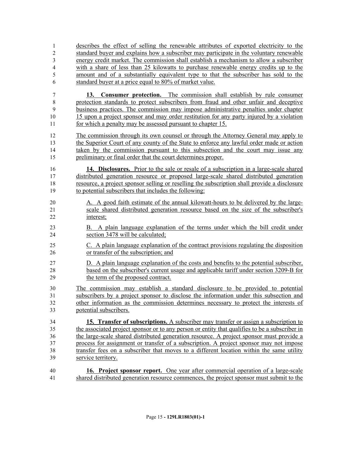describes the effect of selling the renewable attributes of exported electricity to the standard buyer and explains how a subscriber may participate in the voluntary renewable energy credit market. The commission shall establish a mechanism to allow a subscriber with a share of less than 25 kilowatts to purchase renewable energy credits up to the amount and of a substantially equivalent type to that the subscriber has sold to the standard buyer at a price equal to 80% of market value.

 **13. Consumer protection.** The commission shall establish by rule consumer protection standards to protect subscribers from fraud and other unfair and deceptive business practices. The commission may impose administrative penalties under chapter 15 upon a project sponsor and may order restitution for any party injured by a violation for which a penalty may be assessed pursuant to chapter 15.

 The commission through its own counsel or through the Attorney General may apply to the Superior Court of any county of the State to enforce any lawful order made or action 14 taken by the commission pursuant to this subsection and the court may issue any preliminary or final order that the court determines proper.

 **14. Disclosures.** Prior to the sale or resale of a subscription in a large-scale shared distributed generation resource or proposed large-scale shared distributed generation resource, a project sponsor selling or reselling the subscription shall provide a disclosure to potential subscribers that includes the following:

- A. A good faith estimate of the annual kilowatt-hours to be delivered by the large- scale shared distributed generation resource based on the size of the subscriber's interest;
- B. A plain language explanation of the terms under which the bill credit under section 3478 will be calculated;
- C. A plain language explanation of the contract provisions regulating the disposition or transfer of the subscription; and
- D. A plain language explanation of the costs and benefits to the potential subscriber, based on the subscriber's current usage and applicable tariff under section 3209-B for the term of the proposed contract.

 The commission may establish a standard disclosure to be provided to potential subscribers by a project sponsor to disclose the information under this subsection and other information as the commission determines necessary to protect the interests of potential subscribers.

 **15. Transfer of subscriptions.** A subscriber may transfer or assign a subscription to the associated project sponsor or to any person or entity that qualifies to be a subscriber in the large-scale shared distributed generation resource. A project sponsor must provide a process for assignment or transfer of a subscription. A project sponsor may not impose transfer fees on a subscriber that moves to a different location within the same utility service territory.

 **16. Project sponsor report.** One year after commercial operation of a large-scale shared distributed generation resource commences, the project sponsor must submit to the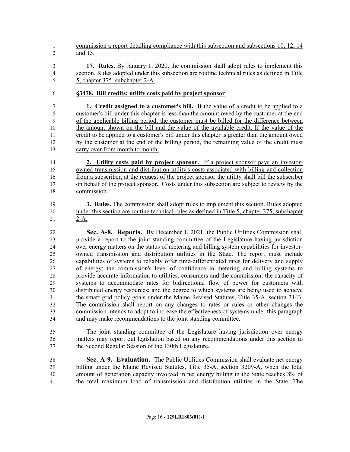commission a report detailing compliance with this subsection and subsections 10, 12, 14 and 15.

- **17. Rules.** By January 1, 2020, the commission shall adopt rules to implement this section. Rules adopted under this subsection are routine technical rules as defined in Title 5, chapter 375, subchapter 2-A.
- **§3478. Bill credits; utility costs paid by project sponsor**

 **1. Credit assigned to a customer's bill.** If the value of a credit to be applied to a customer's bill under this chapter is less than the amount owed by the customer at the end of the applicable billing period, the customer must be billed for the difference between the amount shown on the bill and the value of the available credit. If the value of the credit to be applied to a customer's bill under this chapter is greater than the amount owed by the customer at the end of the billing period, the remaining value of the credit must carry over from month to month.

 **2. Utility costs paid by project sponsor.** If a project sponsor pays an investor- owned transmission and distribution utility's costs associated with billing and collection from a subscriber, at the request of the project sponsor the utility shall bill the subscriber on behalf of the project sponsor. Costs under this subsection are subject to review by the commission.

 **3. Rules.** The commission shall adopt rules to implement this section. Rules adopted under this section are routine technical rules as defined in Title 5, chapter 375, subchapter 2-A.

 **Sec. A-8. Reports.** By December 1, 2021, the Public Utilities Commission shall provide a report to the joint standing committee of the Legislature having jurisdiction over energy matters on the status of metering and billing system capabilities for investor- owned transmission and distribution utilities in the State. The report must include capabilities of systems to reliably offer time-differentiated rates for delivery and supply of energy; the commission's level of confidence in metering and billing systems to provide accurate information to utilities, consumers and the commission; the capacity of systems to accommodate rates for bidirectional flow of power for customers with distributed energy resources; and the degree to which systems are being used to achieve the smart grid policy goals under the Maine Revised Statutes, Title 35-A, section 3143. The commission shall report on any changes to rates or rules or other changes the commission intends to adopt to increase the effectiveness of systems under this paragraph and may make recommendations to the joint standing committee.

 The joint standing committee of the Legislature having jurisdiction over energy matters may report out legislation based on any recommendations under this section to the Second Regular Session of the 130th Legislature.

 **Sec. A-9. Evaluation.** The Public Utilities Commission shall evaluate net energy billing under the Maine Revised Statutes, Title 35-A, section 3209-A, when the total amount of generation capacity involved in net energy billing in the State reaches 8% of the total maximum load of transmission and distribution utilities in the State. The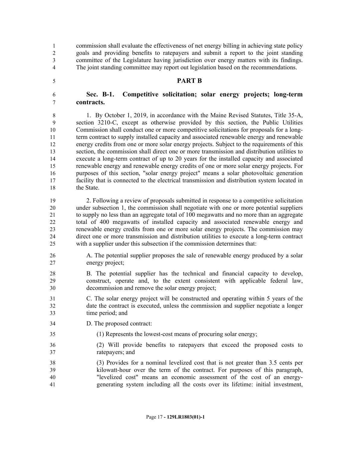The joint standing committee may report out legislation based on the recommendations.

**PART B**

 **Sec. B-1. Competitive solicitation; solar energy projects; long-term contracts.**

 commission shall evaluate the effectiveness of net energy billing in achieving state policy goals and providing benefits to ratepayers and submit a report to the joint standing committee of the Legislature having jurisdiction over energy matters with its findings.

 1. By October 1, 2019, in accordance with the Maine Revised Statutes, Title 35-A, section 3210-C, except as otherwise provided by this section, the Public Utilities Commission shall conduct one or more competitive solicitations for proposals for a long- term contract to supply installed capacity and associated renewable energy and renewable energy credits from one or more solar energy projects. Subject to the requirements of this section, the commission shall direct one or more transmission and distribution utilities to execute a long-term contract of up to 20 years for the installed capacity and associated renewable energy and renewable energy credits of one or more solar energy projects. For purposes of this section, "solar energy project" means a solar photovoltaic generation facility that is connected to the electrical transmission and distribution system located in the State.

 2. Following a review of proposals submitted in response to a competitive solicitation under subsection 1, the commission shall negotiate with one or more potential suppliers to supply no less than an aggregate total of 100 megawatts and no more than an aggregate total of 400 megawatts of installed capacity and associated renewable energy and renewable energy credits from one or more solar energy projects. The commission may direct one or more transmission and distribution utilities to execute a long-term contract with a supplier under this subsection if the commission determines that:

- A. The potential supplier proposes the sale of renewable energy produced by a solar energy project;
- B. The potential supplier has the technical and financial capacity to develop, construct, operate and, to the extent consistent with applicable federal law, decommission and remove the solar energy project;
- C. The solar energy project will be constructed and operating within 5 years of the date the contract is executed, unless the commission and supplier negotiate a longer time period; and
- D. The proposed contract:
- (1) Represents the lowest-cost means of procuring solar energy;
- (2) Will provide benefits to ratepayers that exceed the proposed costs to ratepayers; and
- (3) Provides for a nominal levelized cost that is not greater than 3.5 cents per kilowatt-hour over the term of the contract. For purposes of this paragraph, "levelized cost" means an economic assessment of the cost of an energy-generating system including all the costs over its lifetime: initial investment,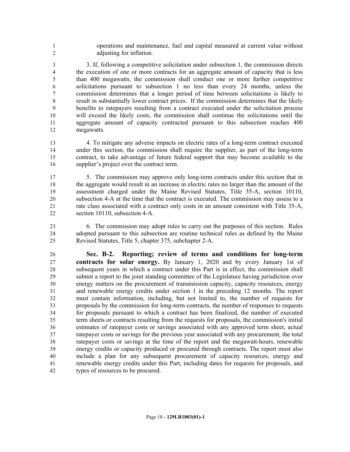operations and maintenance, fuel and capital measured at current value without adjusting for inflation.

 3. If, following a competitive solicitation under subsection 1, the commission directs the execution of one or more contracts for an aggregate amount of capacity that is less than 400 megawatts, the commission shall conduct one or more further competitive solicitations pursuant to subsection 1 no less than every 24 months, unless the commission determines that a longer period of time between solicitations is likely to result in substantially lower contract prices. If the commission determines that the likely benefits to ratepayers resulting from a contract executed under the solicitation process will exceed the likely costs, the commission shall continue the solicitations until the aggregate amount of capacity contracted pursuant to this subsection reaches 400 megawatts.

 4. To mitigate any adverse impacts on electric rates of a long-term contract executed under this section, the commission shall require the supplier, as part of the long-term contract, to take advantage of future federal support that may become available to the supplier's project over the contract term.

 5. The commission may approve only long-term contracts under this section that in the aggregate would result in an increase in electric rates no larger than the amount of the assessment charged under the Maine Revised Statutes, Title 35-A, section 10110, subsection 4-A at the time that the contract is executed. The commission may assess to a rate class associated with a contract only costs in an amount consistent with Title 35-A, section 10110, subsection 4-A.

 6. The commission may adopt rules to carry out the purposes of this section. Rules adopted pursuant to this subsection are routine technical rules as defined by the Maine Revised Statutes, Title 5, chapter 375, subchapter 2-A.

 **Sec. B-2. Reporting; review of terms and conditions for long-term contracts for solar energy.** By January 1, 2020 and by every January 1st of subsequent years in which a contract under this Part is in effect, the commission shall submit a report to the joint standing committee of the Legislature having jurisdiction over energy matters on the procurement of transmission capacity, capacity resources, energy and renewable energy credits under section 1 in the preceding 12 months. The report must contain information, including, but not limited to, the number of requests for proposals by the commission for long-term contracts, the number of responses to requests for proposals pursuant to which a contract has been finalized, the number of executed term sheets or contracts resulting from the requests for proposals, the commission's initial estimates of ratepayer costs or savings associated with any approved term sheet, actual ratepayer costs or savings for the previous year associated with any procurement, the total ratepayer costs or savings at the time of the report and the megawatt-hours, renewable energy credits or capacity produced or procured through contracts. The report must also include a plan for any subsequent procurement of capacity resources, energy and renewable energy credits under this Part, including dates for requests for proposals, and types of resources to be procured.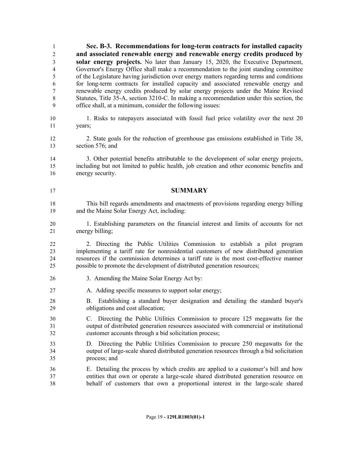**Sec. B-3. Recommendations for long-term contracts for installed capacity and associated renewable energy and renewable energy credits produced by solar energy projects.** No later than January 15, 2020, the Executive Department, Governor's Energy Office shall make a recommendation to the joint standing committee of the Legislature having jurisdiction over energy matters regarding terms and conditions for long-term contracts for installed capacity and associated renewable energy and renewable energy credits produced by solar energy projects under the Maine Revised Statutes, Title 35-A, section 3210-C. In making a recommendation under this section, the office shall, at a minimum, consider the following issues:

- 1. Risks to ratepayers associated with fossil fuel price volatility over the next 20 years;
- 2. State goals for the reduction of greenhouse gas emissions established in Title 38, section 576; and
- 3. Other potential benefits attributable to the development of solar energy projects, including but not limited to public health, job creation and other economic benefits and energy security.
- **SUMMARY**
- This bill regards amendments and enactments of provisions regarding energy billing and the Maine Solar Energy Act, including:
- 1. Establishing parameters on the financial interest and limits of accounts for net energy billing;

 2. Directing the Public Utilities Commission to establish a pilot program implementing a tariff rate for nonresidential customers of new distributed generation resources if the commission determines a tariff rate is the most cost-effective manner possible to promote the development of distributed generation resources;

- 3. Amending the Maine Solar Energy Act by:
- 27 A. Adding specific measures to support solar energy;
- B. Establishing a standard buyer designation and detailing the standard buyer's obligations and cost allocation;
- C. Directing the Public Utilities Commission to procure 125 megawatts for the output of distributed generation resources associated with commercial or institutional customer accounts through a bid solicitation process;
- D. Directing the Public Utilities Commission to procure 250 megawatts for the output of large-scale shared distributed generation resources through a bid solicitation process; and
- E. Detailing the process by which credits are applied to a customer's bill and how entities that own or operate a large-scale shared distributed generation resource on behalf of customers that own a proportional interest in the large-scale shared